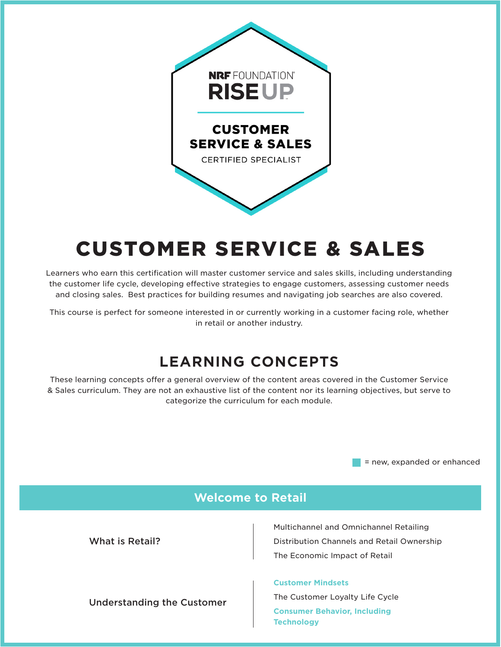

# CUSTOMER SERVICE & SALES

Learners who earn this certification will master customer service and sales skills, including understanding the customer life cycle, developing effective strategies to engage customers, assessing customer needs and closing sales. Best practices for building resumes and navigating job searches are also covered.

This course is perfect for someone interested in or currently working in a customer facing role, whether in retail or another industry.

### **LEARNING CONCEPTS**

These learning concepts offer a general overview of the content areas covered in the Customer Service & Sales curriculum. They are not an exhaustive list of the content nor its learning objectives, but serve to categorize the curriculum for each module.

= new, expanded or enhanced

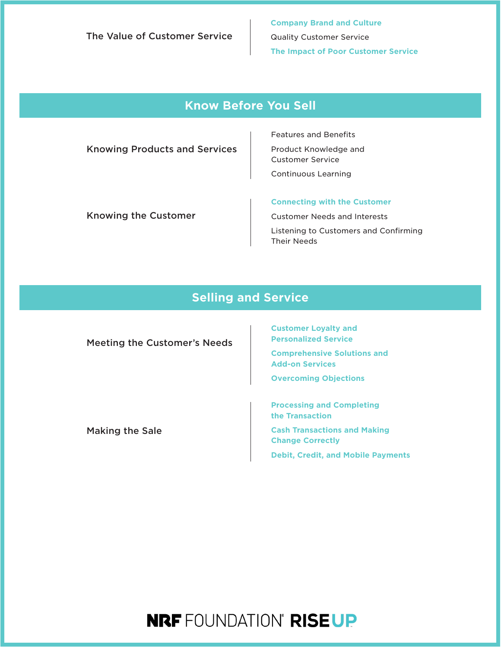The Value of Customer Service

**Company Brand and Culture** Quality Customer Service **The Impact of Poor Customer Service**

### **Know Before You Sell**

Knowing Products and Services

Features and Benefits Product Knowledge and Customer Service Continuous Learning

Knowing the Customer

**Connecting with the Customer**

Customer Needs and Interests Listening to Customers and Confirming Their Needs

### **Selling and Service**

| <b>Meeting the Customer's Needs</b> | <b>Customer Loyalty and</b><br><b>Personalized Service</b>     |
|-------------------------------------|----------------------------------------------------------------|
|                                     | <b>Comprehensive Solutions and</b><br><b>Add-on Services</b>   |
|                                     | <b>Overcoming Objections</b>                                   |
|                                     | <b>Processing and Completing</b><br>the Transaction            |
| <b>Making the Sale</b>              | <b>Cash Transactions and Making</b><br><b>Change Correctly</b> |
|                                     | <b>Debit, Credit, and Mobile Payments</b>                      |

# **NRF** FOUNDATION° RISEUP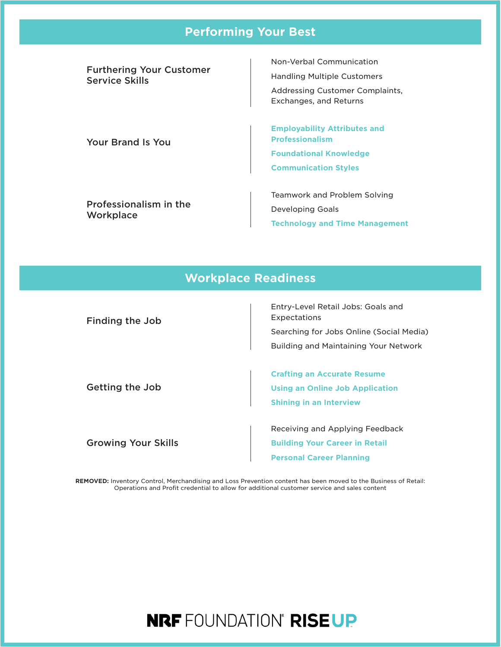#### **Performing Your Best**

Furthering Your Customer Service Skills

Your Brand Is You

Non-Verbal Communication Handling Multiple Customers Addressing Customer Complaints, Exchanges, and Returns

**Employability Attributes and Professionalism Foundational Knowledge Communication Styles**

Professionalism in the **Workplace** 

Teamwork and Problem Solving Developing Goals **Technology and Time Management**

#### **Workplace Readiness**

Finding the Job

Entry-Level Retail Jobs: Goals and Expectations Searching for Jobs Online (Social Media) Building and Maintaining Your Network

Getting the Job

Growing Your Skills

**Crafting an Accurate Resume Using an Online Job Application Shining in an Interview**

Receiving and Applying Feedback **Building Your Career in Retail Personal Career Planning**

**REMOVED:** Inventory Control, Merchandising and Loss Prevention content has been moved to the Business of Retail: Operations and Profit credential to allow for additional customer service and sales content

## **NRF FOUNDATION° RISEUP**